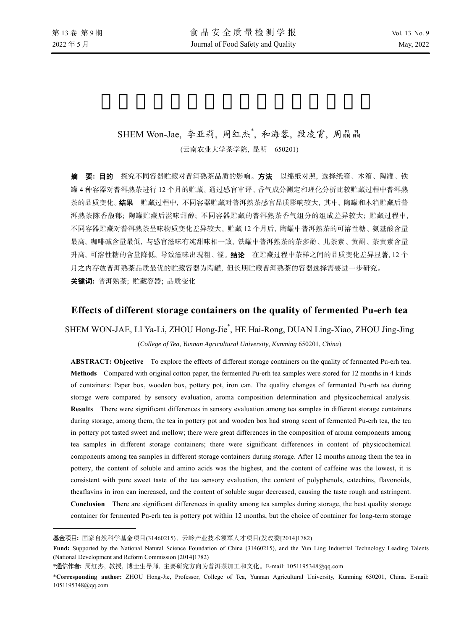l

# SHEM Won-Jae, 李亚莉, 周红杰\* , 和海蓉, 段凌霄, 周晶晶

(云南农业大学茶学院, 昆明 650201)

摘要**:** 目的 探究不同容器贮藏对普洱熟茶品质的影响。方法以绵纸对照, 选择纸箱、木箱、陶罐、铁 罐 4 种容器对普洱熟茶进行 12 个月的贮藏。通过感官审评、香气成分测定和理化分析比较贮藏过程中普洱熟 茶的品质变化。结果贮藏过程中, 不同容器贮藏对普洱熟茶感官品质影响较大, 其中, 陶罐和木箱贮藏后普 洱熟茶陈香馥郁; 陶罐贮藏后滋味甜醇; 不同容器贮藏的普洱熟茶香气组分的组成差异较大; 贮藏过程中, 不同容器贮藏对普洱熟茶呈味物质变化差异较大。贮藏 12 个月后, 陶罐中普洱熟茶的可溶性糖、氨基酸含量 最高, 咖啡碱含量最低, 与感官滋味有纯甜味相一致, 铁罐中普洱熟茶的茶多酚、儿茶素、黄酮、茶黄素含量 升高, 可溶性糖的含量降低, 导致滋味出现粗、涩。结论在贮藏过程中茶样之间的品质变化差异显著, 12 个 月之内存放普洱熟茶品质最优的贮藏容器为陶罐, 但长期贮藏普洱熟茶的容器选择需要进一步研究。 关键词**:** 普洱熟茶; 贮藏容器; 品质变化

## **Effects of different storage containers on the quality of fermented Pu-erh tea**

# SHEM WON-JAE, LI Ya-Li, ZHOU Hong-Jie\* , HE Hai-Rong, DUAN Ling-Xiao, ZHOU Jing-Jing

#### (*College of Tea*, *Yunnan Agricultural University*, *Kunming* 650201, *China*)

**ABSTRACT: Objective** To explore the effects of different storage containers on the quality of fermented Pu-erh tea. **Methods** Compared with original cotton paper, the fermented Pu-erh tea samples were stored for 12 months in 4 kinds of containers: Paper box, wooden box, pottery pot, iron can. The quality changes of fermented Pu-erh tea during storage were compared by sensory evaluation, aroma composition determination and physicochemical analysis. **Results** There were significant differences in sensory evaluation among tea samples in different storage containers during storage, among them, the tea in pottery pot and wooden box had strong scent of fermented Pu-erh tea, the tea in pottery pot tasted sweet and mellow; there were great differences in the composition of aroma components among tea samples in different storage containers; there were significant differences in content of physicochemical components among tea samples in different storage containers during storage. After 12 months among them the tea in pottery, the content of soluble and amino acids was the highest, and the content of caffeine was the lowest, it is consistent with pure sweet taste of the tea sensory evaluation, the content of polyphenols, catechins, flavonoids, theaflavins in iron can increased, and the content of soluble sugar decreased, causing the taste rough and astringent. **Conclusion** There are significant differences in quality among tea samples during storage, the best quality storage container for fermented Pu-erh tea is pottery pot within 12 months, but the choice of container for long-term storage

基金项目**:** 国家自然科学基金项目(31460215)、云岭产业技术领军人才项目(发改委[2014]1782)

**Fund:** Supported by the National Natural Science Foundation of China (31460215), and the Yun Ling Industrial Technology Leading Talents (National Development and Reform Commission [2014]1782)

<sup>\*</sup>通信作者**:** 周红杰, 教授, 博士生导师, 主要研究方向为普洱茶加工和文化。E-mail: 1051195348@qq.com

<sup>\*</sup>**Corresponding author:** ZHOU Hong-Jie, Professor, College of Tea, Yunnan Agricultural University, Kunming 650201, China. E-mail: 1051195348@qq.com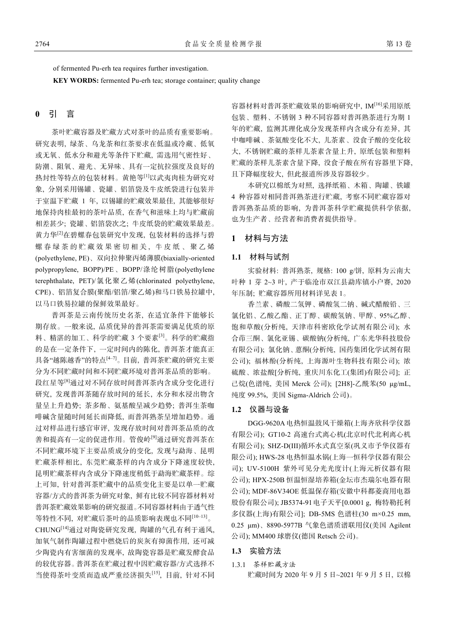of fermented Pu-erh tea requires further investigation.

**KEY WORDS:** fermented Pu-erh tea; storage container; quality change

### **0** 引 言

茶叶贮藏容器及贮藏方式对茶叶的品质有重要影响。 研究表明, 绿茶、乌龙茶和红茶要求在低温或冷藏、低氧 或无氧、低水分和避光等条件下贮藏, 需选用气密性好、 防潮、阻氧、避光、无异味、具有一定抗拉强度及良好的 热封性等特点的包装材料。黄艳等[1]以武夷肉桂为研究对 象, 分别采用锡罐、瓷罐、铝箔袋及牛皮纸袋进行包装并 于室温下贮藏 1 年, 以锡罐的贮藏效果最佳, 其能够很好 地保持肉桂最初的茶叶品质, 在香气和滋味上均与贮藏前 相差甚少; 瓷罐、铝箔袋次之; 牛皮纸袋的贮藏效果最差。 黄力华[2]在碧螺春包装研究中发现, 包装材料的选择与碧 螺春绿茶的贮藏效果密切相关, 牛皮纸、聚乙烯 (polyethylene, PE)、双向拉伸聚丙烯薄膜(biaxially-oriented polypropylene, BOPP)/PE、BOPP/涤纶树脂(polyethylene terephthalate, PET)/氯化聚乙烯(chlorinated polyethylene, CPE)、铝箔复合膜(聚酯/铝箔/聚乙烯)和马口铁易拉罐中, 以马口铁易拉罐的保鲜效果最好。

普洱茶是云南传统历史名茶, 在适宜条件下能够长 期存放。一般来说, 品质优异的普洱茶需要满足优质的原 料、精湛的加工、科学的贮藏 3 个要素[3]。科学的贮藏指 的是在一定条件下, 一定时间内的陈化, 普洱茶才能真正 具备"越陈越香"的特点<sup>[4–7]</sup>。目前, 普洱茶贮藏的研究主要 分为不同贮藏时间和不同贮藏环境对普洱茶品质的影响。 段红星等[8]通过对不同存放时间普洱茶内含成分变化进行 研究, 发现普洱茶随存放时间的延长, 水分和水浸出物含 量呈上升趋势; 茶多酚、氨基酸呈减少趋势; 普洱生茶咖 啡碱含量随时间延长而降低, 而普洱熟茶呈增加趋势。通 过对样品进行感官审评, 发现存放时间对普洱茶品质的改 善和提高有一定的促进作用。管俊岭<sup>[9]</sup>通过研究普洱茶在 不同贮藏环境下主要品质成分的变化, 发现与勐海、昆明 贮藏茶样相比, 东莞贮藏茶样的内含成分下降速度较快, 昆明贮藏茶样内含成分下降速度稍低于勐海贮藏茶样。综 上可知, 针对普洱茶贮藏中的品质变化主要是以单一贮藏 容器/方式的普洱茶为研究对象, 鲜有比较不同容器材料对 普洱茶贮藏效果影响的研究报道。不同容器材料由于透气性 等特性不同, 对贮藏后茶叶的品质影响表现也不同[10‒13]。 CHUNG[14]通过对陶瓷研究发现, 陶罐的气孔有利于通风, 加氧气制作陶罐过程中燃烧后的炭灰有抑菌作用, 还可减 少陶瓷内有害细菌的发现率, 故陶瓷容器是贮藏发酵食品 的较优容器。普洱茶在贮藏过程中因贮藏容器/方式选择不 当使得茶叶变质而造成严重经济损失[15], 目前, 针对不同

容器材料对普洱茶贮藏效果的影响研究中, IM[16]采用原纸 包装、塑料、不锈钢 3 种不同容器对普洱熟茶进行为期 1 年的贮藏, 监测其理化成分发现茶样内含成分有差异, 其 中咖啡碱、茶氨酸变化不大, 儿茶素、没食子酸的变化较 大, 不锈钢贮藏的茶样儿茶素含量上升, 原纸包装和塑料 贮藏的茶样儿茶素含量下降, 没食子酸在所有容器里下降, 且下降幅度较大, 但此报道所涉及容器较少。

本研究以棉纸为对照, 选择纸箱、木箱、陶罐、铁罐 4 种容器对相同普洱熟茶进行贮藏, 考察不同贮藏容器对 普洱熟茶品质的影响, 为普洱茶科学贮藏提供科学依据, 也为生产者、经营者和消费者提供指导。

### **1** 材料与方法

### **1.1** 材料与试剂

实验材料: 普洱熟茶, 规格: 100 g/饼, 原料为云南大 叶种 1 芽 2~3 叶, 产于临沧市双江县勐库镇小户赛, 2020 年压制; 贮藏容器所用材料详见表 1。

香兰素、磷酸二氢钾、磷酸氢二钠、碱式醋酸铅、三 氯化铝、乙酸乙酯、正丁醇、碳酸氢钠、甲醇、95%乙醇、 饱和草酸(分析纯, 天津市科密欧化学试剂有限公司); 水 合茚三酮、氯化亚锡、碳酸钠(分析纯, 广东光华科技股份 有限公司); 氯化钠、蒽酮(分析纯, 国药集团化学试剂有限 公司); 福林酚(分析纯, 上海源叶生物科技有限公司); 浓 硫酸、浓盐酸[分析纯, 重庆川东化工(集团)有限公司]; 正 己烷(色谱纯, 美国 Merck 公司); [2H8]-乙酰苯(50 μg/mL, 纯度 99.5%, 美国 Sigma-Aldrich 公司)。

### **1.2** 仪器与设备

DGG-9620A 电热恒温鼓风干燥箱(上海齐欣科学仪器 有限公司); GT10-2 高速台式离心机(北京时代北利离心机 有限公司); SHZ-D(III)循环水式真空泵(巩义市予华仪器有 限公司); HWS-28 电热恒温水锅(上海一恒科学仪器有限公 司); UV-5100H 紫外可见分光光度计(上海元析仪器有限 公司); HPX-250B 恒温恒湿培养箱(金坛市杰瑞尔电器有限 公司); MDF-86V34OE 低温保存箱(安徽中科都菱商用电器 股份有限公司); JB5374-91电子天平[0.0001 g, 梅特勒托利 多仪器(上海)有限公司]; DB-5MS 色谱柱(30 m×0.25 mm, 0.25 μm)、8890-5977B 气象色谱质谱联用仪(美国 Agilent 公司); MM400 球磨仪(德国 Retsch 公司)。

#### **1.3** 实验方法

1.3.1 茶样贮藏方法 贮藏时间为 2020 年 9 月 5 日~2021 年 9 月 5 日, 以棉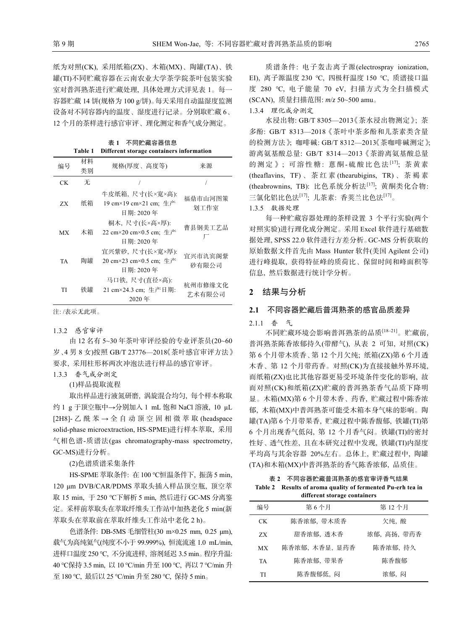纸为对照(CK), 采用纸箱(ZX)、木箱(MX)、陶罐(TA)、铁 罐(TI)不同贮藏容器在云南农业大学茶学院茶叶包装实验 室对普洱熟茶进行贮藏处理, 具体处理方式详见表 1。每一 容器贮藏 14 饼(规格为 100 g/饼)。每天采用自动温湿度监测 设备对不同容器内的温度、湿度进行记录。分别取贮藏 6、 12 个月的茶样进行感官审评、理化测定和香气成分测定。

表 **1** 不同贮藏容器信息

| Different storage containers information<br>Table 1 |          |                                                          |                   |  |
|-----------------------------------------------------|----------|----------------------------------------------------------|-------------------|--|
| 编号                                                  | 材料<br>类别 | 规格(厚度、高度等)                                               | 来源                |  |
| CK.                                                 | 无        |                                                          |                   |  |
| ZX.                                                 | 纸箱       | 牛皮纸箱, 尺寸(长×宽×高):<br>19 cm×19 cm×21 cm; 牛产<br>目期: 2020 年  | 福鼎市山河图策<br>划工作室   |  |
| МX                                                  | 木箱       | 桐木, 尺寸(长×高×厚):<br>22 cm×20 cm×0.5 cm; 生产<br>日期: 2020年    | 曹县钢美工艺品           |  |
| TA                                                  | 陶罐       | 宜兴紫砂, 尺寸(长×宽×厚):<br>20 cm×23 cm×0.5 cm; 生产<br>目期: 2020 年 | 宜兴市氿宾阁紫<br>砂有限公司  |  |
| TI                                                  | 铁罐       | 马口铁, 尺寸(直径×高):<br>21 cm×24.3 cm; 牛产日期:<br>2020年          | 杭州市修缘文化<br>艺术有限公司 |  |

注: /表示无此项。

1.3.2 感官审评

由 12 名有 5~30 年茶叶审评经验的专业评茶员(20~60 岁、4 男 8 女)按照 GB/T 23776—2018《茶叶感官审评方法》 要求, 采用柱形杯两次冲泡法进行样品的感官审评。

1.3.3 香气成分测定

(1)样品提取流程

取出样品进行液氮研磨, 涡旋混合均匀, 每个样本称取 约 1 g 于顶空瓶中→分别加入 1 mL 饱和 NaCl 溶液, 10 μL [2H8]- 乙酰苯→全自动顶空固相微萃取 (headspace solid-phase microextraction, HS-SPME)进行样本萃取, 采用 气相色谱-质谱法(gas chromatography-mass spectrometry, GC-MS)进行分析。

(2)色谱质谱采集条件

HS-SPME 萃取条件: 在 100 ℃恒温条件下, 振荡 5 min, 120 μm DVB/CAR/PDMS 萃取头插入样品顶空瓶, 顶空萃 取 15 min, 于 250 ℃下解析 5 min, 然后进行 GC-MS 分离鉴 定。采样前萃取头在萃取纤维头工作站中加热老化 5 min(新 萃取头在萃取前在萃取纤维头工作站中老化 2 h)。

色谱条件: DB-5MS 毛细管柱(30 m×0.25 mm, 0.25 μm), 载气为高纯氦气(纯度不小于 99.999%), 恒流流速 1.0 mL/min, 进样口温度 250 ℃, 不分流进样, 溶剂延迟 3.5 min。程序升温: 40 ℃保持 3.5 min, 以 10 ℃/min 升至 100 ℃, 再以 7 ℃/min 升 至 180 ℃, 最后以 25 ℃/min 升至 280 ℃, 保持 5 min。

质谱条件: 电子轰击离子源(electrospray ionization, EI), 离子源温度 230 ℃, 四极杆温度 150 ℃, 质谱接口温 度 280 ℃, 电子能量 70 eV, 扫描方式为全扫描模式 (SCAN), 质量扫描范围: *m*/*z* 50~500 amu。

1.3.4 理化成分测定

水浸出物: GB/T 8305—2013《茶水浸出物测定》; 茶 多酚: GB/T 8313—2018《茶叶中茶多酚和儿茶素类含量 的检测方法》; 咖啡碱: GB/T 8312—2013《茶咖啡碱测定》; 游离氨基酸总量: GB/T 8314—2013《茶游离氨基酸总量 的测定》;可溶性糖: 蒽酮-硫酸比色法[17]; 茶黄素 (theaflavins, TF) 、茶红素 (thearubigins, TR) 、茶褐素 (theabrownins, TB): 比色系统分析法[17]; 黄酮类化合物: 三氯化铝比色法<sup>[17]</sup>; 儿茶素: 香荚兰比色法<sup>[17]</sup>。 1.3.5 数据处理

每一种贮藏容器处理的茶样设置 3 个平行实验(两个 对照实验)进行理化成分测定。采用 Excel 软件进行基础数 据处理, SPSS 22.0 软件进行方差分析。GC-MS 分析获取的 原始数据文件首先由 Mass Hunter 软件(美国 Agilent 公司) 进行峰提取, 获得特征峰的质荷比、保留时间和峰面积等 信息, 然后数据进行统计学分析。

### **2** 结果与分析

### **2.1** 不同容器贮藏后普洱熟茶的感官品质差异

#### 2.1.1 香 气

不同贮藏环境会影响普洱熟茶的品质[18‒21]。贮藏前, 普洱熟茶陈香浓郁持久(带酵气), 从表 2 可知, 对照(CK) 第 6 个月带木质香、第 12 个月欠纯; 纸箱(ZX)第 6 个月透 木香、第 12 个月带药香。对照(CK)为直接接触外界环境, 而纸箱(ZX)也比其他容器更易受环境条件变化的影响, 故 而对照(CK)和纸箱(ZX)贮藏的普洱熟茶香气品质下降明 显。木箱(MX)第 6 个月带木香、药香, 贮藏过程中陈香浓 郁, 木箱(MX)中普洱熟茶可能受木箱本身气味的影响。陶 罐(TA)第 6 个月带果香, 贮藏过程中陈香馥郁, 铁罐(TI)第 6 个月出现香气低闷, 第 12 个月香气闷。铁罐(TI)的密封 性好、透气性差, 且在本研究过程中发现, 铁罐(TI)内湿度 平均高与其余容器 20%左右。总体上, 贮藏过程中, 陶罐 (TA)和木箱(MX)中普洱熟茶的香气陈香浓郁, 品质佳。

## 表 **2** 不同容器贮藏普洱熟茶的感官审评香气结果 **Table 2 Results of aroma quality of fermented Pu-erh tea in**

| different storage containers |                |             |  |  |  |
|------------------------------|----------------|-------------|--|--|--|
| 编号                           | 第6个月           | 第12个月       |  |  |  |
| CK.                          | 陈香浓郁, 带木质香     | 欠纯,酸        |  |  |  |
| ZX                           | 甜香浓郁,透木香       | 浓郁, 高扬, 带药香 |  |  |  |
| МX                           | 陈香浓郁, 木香显, 显药香 | 陈香浓郁, 持久    |  |  |  |
| <b>TA</b>                    | 陈香浓郁、带果香       | 陈香馥郁        |  |  |  |
| TI                           | 陈香馥郁低,闷        | 浓郁,闷        |  |  |  |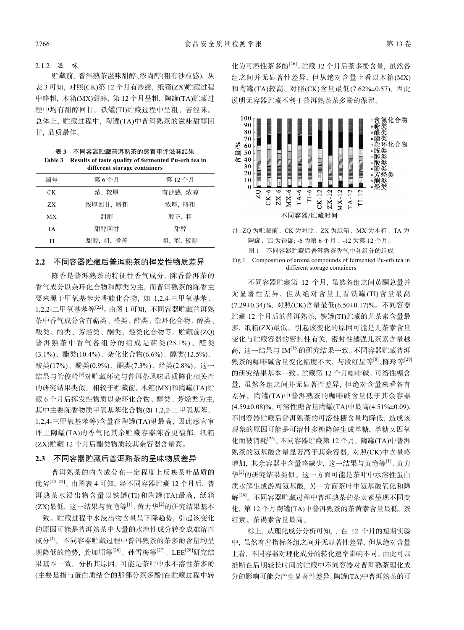#### 2.1.2 滋 味

贮藏前, 普洱熟茶滋味甜醇、浓尚醇(粗有沙粒感), 从 表 3 可知, 对照(CK)第 12 个月有沙感, 纸箱(ZX)贮藏过程 中略粗, 木箱(MX)甜醇, 第 12 个月呈粗, 陶罐(TA)贮藏过 程中均有甜醇回甘。铁罐(TI)贮藏过程中呈粗、苦涩味。 总体上, 贮藏过程中, 陶罐(TA)中普洱熟茶的滋味甜醇回 甘, 品质最佳。

| 表 3 | 不同容器贮藏普洱熟茶的感官审评滋味结果                                         |
|-----|-------------------------------------------------------------|
|     | Table 3 Results of taste quality of fermented Pu-erh tea in |
|     | different storage containers                                |

| university storm to committee to |          |         |  |  |  |
|----------------------------------|----------|---------|--|--|--|
| 编号                               | 第6个月     | 第12个月   |  |  |  |
| CK.                              | 浓,较厚     | 有沙感, 浓醇 |  |  |  |
| ZX.                              | 浓厚回甘, 略粗 | 浓厚, 略粗  |  |  |  |
| <b>MX</b>                        | 甜醇       | 醇正, 粗   |  |  |  |
| <b>TA</b>                        | 甜醇回甘     | 甜醇      |  |  |  |
| TI                               | 甜醇、粗、微苦  | 粗,涩,较醇  |  |  |  |

### **2.2** 不同容器贮藏后普洱熟茶的挥发性物质差异

陈香是普洱熟茶的特征性香气成分, 陈香普洱茶的 香气成分以杂环化合物和醇类为主, 而普洱熟茶的陈香主 要来源于甲氧基苯芳香族化合物, 如 1,2,4-三甲氧基苯、 1,2,2-二甲氧基苯等[22]。由图 1 可知, 不同容器贮藏普洱熟 茶中香气成分含有萜类、醛类、酯类、杂环化合物、醇类、 酸类、酚类、芳烃类、酮类、烃类化合物等。贮藏前(ZQ) 普洱熟茶中香气各组分的组成是萜类 (25.1%)、醛类 (3.1%)、酯类(10.4%)、杂化化合物(6.6%)、醇类(12.5%)、 酸类(17%)、酚类(0.9%)、酮类(7.3%)、烃类(2.8%)。这一 结果与管俊岭[9]对贮藏环境与普洱茶风味品质陈化相关性 的研究结果类似。相较于贮藏前, 木箱(MX)和陶罐(TA)贮 藏 6 个月后挥发性物质以杂环化合物、醇类、芳烃类为主, 其中主要陈香物质甲氧基苯化合物(如 1,2,2-二甲氧基苯、 1,2,4-三甲氧基苯等)含量在陶罐(TA)里最高, 因此感官审 评上陶罐(TA)的香气比其余贮藏容器陈香更馥郁, 纸箱 (ZX)贮藏 12 个月后酯类物质较其余容器含量高。

### **2.3** 不同容器贮藏后普洱熟茶的呈味物质差异

普洱熟茶的内含成分在一定程度上反映茶叶品质的 优劣[23‒25]。由图表 4 可知, 经不同容器贮藏 12 个月后, 普 洱熟茶水浸出物含量以铁罐(TI)和陶罐(TA)最高, 纸箱 (ZX)最低, 这一结果与黄艳等[1]、黄力华[2]的研究结果基本 一致。贮藏过程中水浸出物含量呈下降趋势, 引起该变化 的原因可能是普洱熟茶中大量的水溶性成分转变成难溶性 成分[1]。不同容器贮藏过程中普洱熟茶的茶多酚含量均呈 现降低的趋势, 龚加顺等[26]、孙雪梅等[27]、LEE[28]研究结 果基本一致。分析其原因, 可能是茶叶中水不溶性茶多酚 (主要是指与蛋白质结合的那部分茶多酚)在贮藏过程中转

化为可溶性茶多酚[26]。贮藏 12 个月后茶多酚含量, 虽然各 组之间并无显著性差异, 但从绝对含量上看以木箱(MX) 和陶罐(TA)较高, 对照(CK)含量最低(7.62%±0.57), 因此 说明无容器贮藏不利于普洱熟茶茶多酚的保留。



| 注: ZO 为贮藏前、CK 为对照、ZX 为纸箱、MX 为木箱、TA 为 |  |  |                                     |  |
|--------------------------------------|--|--|-------------------------------------|--|
|                                      |  |  | 陶罐、TI 为铁罐; -6 为第 6 个月、-12 为第 12 个月。 |  |
|                                      |  |  | 图 1 不同容器贮藏后普洱熟茶香气中各组分的组成            |  |

Fig.1 Composition of aroma compounds of fermented Pu-erh tea in different storage containers

不同容器贮藏第 12 个月, 虽然各组之间黄酮总量并 无显著性差异, 但从绝对含量上看铁罐(TI)含量最高 (7.29±0.34)%, 对照(CK)含量最低(6.50±0.17)%。不同容器 贮藏 12 个月后的普洱熟茶, 铁罐(TI)贮藏的儿茶素含量最 多, 纸箱(ZX)最低。引起该变化的原因可能是儿茶素含量 变化与贮藏容器的密封性有关, 密封性越强儿茶素含量越 高, 这一结果与 IM[16]的研究结果一致。不同容器贮藏普洱 熟茶的咖啡碱含量变化幅度不大, 与段红星等[8]、陈玲等[29] 的研究结果基本一致。贮藏第 12 个月咖啡碱、可溶性糖含 量, 虽然各组之间并无显著性差异, 但绝对含量来看各有 差异。陶罐(TA)中普洱熟茶的咖啡碱含量低于其余容器 (4.59±0.08)%。可溶性糖含量陶罐(TA)中最高(4.51%±0.09), 不同容器贮藏后普洱熟茶的可溶性糖含量均降低, 造成该 现象的原因可能是可溶性多糖降解生成单糖, 单糖又因氧 化而被消耗[26]。不同容器贮藏第 12 个月, 陶罐(TA)中普洱 熟茶的氨基酸含量显著高于其余容器, 对照(CK)中含量略 增加, 其余容器中含量略减少, 这一结果与黄艳等[1]、黄力 华[2]的研究结果类似。这一方面可能是茶叶中水溶性蛋白 质水解生成游离氨基酸, 另一方面茶叶中氨基酸氧化和降 解[26]。不同容器贮藏过程中普洱熟茶的茶黄素呈现不同变 化, 第 12 个月陶罐(TA)中普洱熟茶的茶黄素含量最低, 茶 红素、茶褐素含量最高。

综上, 从理化成分分析可知, , 在 12 个月的短期实验 中, 虽然有些指标各组之间并无显著性差异, 但从绝对含量 上看, 不同容器对理化成分的转化速率影响不同。由此可以 推断在后期较长时间的贮藏中不同容器对普洱熟茶理化成 分的影响可能会产生显著性差异。陶罐(TA)中普洱熟茶的可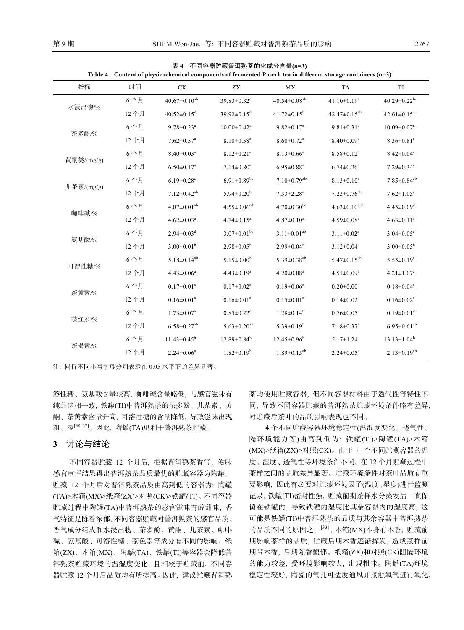| Table 4 Content of physicochemical components of fermented Pu-erh tea in different storage containers $(n=3)$ |      |                               |                               |                                |                               |                                |
|---------------------------------------------------------------------------------------------------------------|------|-------------------------------|-------------------------------|--------------------------------|-------------------------------|--------------------------------|
| 指标                                                                                                            | 时间   | CK                            | ZX                            | MX                             | TA                            | TI                             |
| 水浸出物/%                                                                                                        | 6个月  | $40.67 \pm 0.10^{ab}$         | 39.83±0.32 <sup>c</sup>       | $40.54 \pm 0.08$ <sup>ab</sup> | $41.10 \pm 0.19^a$            | $40.29 \pm 0.22$ <sup>bc</sup> |
|                                                                                                               | 12个月 | $40.52 \pm 0.15$ <sup>d</sup> | $39.92 \pm 0.15$ <sup>d</sup> | $41.72 \pm 0.15^b$             | $42.47 \pm 0.15^{ab}$         | $42.61 \pm 0.15^a$             |
| 茶多酚/%                                                                                                         | 6个月  | $9.78 \pm 0.23$ <sup>a</sup>  | $10.00 \pm 0.42$ <sup>a</sup> | $9.82 \pm 0.17^a$              | $9.81 \pm 0.31$ <sup>a</sup>  | $10.09 \pm 0.07$ <sup>a</sup>  |
|                                                                                                               | 12个月 | $7.62 \pm 0.57$ <sup>a</sup>  | $8.10 \pm 0.58$ <sup>a</sup>  | $8.60 \pm 0.72$ <sup>a</sup>   | $8.40 \pm 0.09^a$             | $8.36 \pm 0.81$ <sup>a</sup>   |
|                                                                                                               | 6个月  | $8.40 \pm 0.03$ <sup>a</sup>  | $8.12 \pm 0.21$ <sup>a</sup>  | $8.13 \pm 0.66^a$              | $8.58 \pm 0.12$ <sup>a</sup>  | $8.42 \pm 0.04$ <sup>a</sup>   |
| 黄酮类/(mg/g)                                                                                                    | 12个月 | $6.50 \pm 0.17^a$             | $7.14 \pm 0.80$ <sup>a</sup>  | $6.95 \pm 0.88$ <sup>a</sup>   | $6.74 \pm 0.26$ <sup>a</sup>  | $7.29 \pm 0.34$ <sup>a</sup>   |
|                                                                                                               | 6个月  | $6.19 \pm 0.28$ <sup>c</sup>  | $6.91 \pm 0.89$ bc            | $7.10 \pm 0.79$ <sup>abc</sup> | $8.13 \pm 0.10^a$             | $7.85 \pm 0.84$ <sup>ab</sup>  |
| 儿茶素/(mg/g)                                                                                                    | 12个月 | $7.12 \pm 0.42$ <sup>ab</sup> | $5.94 \pm 0.20^b$             | $7.33 \pm 2.28$ <sup>a</sup>   | $7.23 \pm 0.76$ <sup>ab</sup> | $7.62 \pm 1.05^a$              |
| 咖啡碱/%                                                                                                         | 6个月  | $4.87 \pm 0.01^{ab}$          | $4.55 \pm 0.06^{cd}$          | $4.70 \pm 0.30^{\rm bc}$       | $4.63 \pm 0.10^{bcd}$         | $4.45 \pm 0.09$ <sup>d</sup>   |
|                                                                                                               | 12个月 | $4.62 \pm 0.03^a$             | $4.74 \pm 0.15^a$             | $4.87 \pm 0.10^a$              | $4.59 \pm 0.08$ <sup>a</sup>  | $4.63 \pm 0.11^a$              |
|                                                                                                               | 6个月  | $2.94 \pm 0.03$ <sup>d</sup>  | $3.07 \pm 0.01$ bc            | $3.11 \pm 0.01^{ab}$           | $3.11 \pm 0.02^a$             | $3.04 \pm 0.05$ <sup>c</sup>   |
| 氨基酸/%                                                                                                         | 12个月 | $3.00 \pm 0.01^b$             | $2.98 \pm 0.05^b$             | $2.99 \pm 0.04^b$              | $3.12 \pm 0.04^a$             | $3.00 \pm 0.05^b$              |
|                                                                                                               | 6个月  | $5.18 \pm 0.14^{ab}$          | $5.15 \pm 0.00^b$             | $5.39 \pm 0.38$ <sup>ab</sup>  | $5.47 \pm 0.15^{ab}$          | $5.55 \pm 0.19^a$              |
| 可溶性糖/%                                                                                                        | 12个月 | $4.43 \pm 0.06^a$             | $4.43 \pm 0.19^a$             | $4.20 \pm 0.08$ <sup>a</sup>   | $4.51 \pm 0.09^a$             | $4.21 \pm 1.07$ <sup>a</sup>   |
|                                                                                                               | 6个月  | $0.17 \pm 0.01^a$             | $0.17 \pm 0.02^a$             | $0.19 \pm 0.06^a$              | $0.20 \pm 0.00^a$             | $0.18 \pm 0.04^a$              |
| 茶黄素/%                                                                                                         | 12个月 | $0.16 \pm 0.01^a$             | $0.16 \pm 0.01^a$             | $0.15 \pm 0.01^a$              | $0.14 \pm 0.02^a$             | $0.16 \pm 0.02$ <sup>a</sup>   |
|                                                                                                               | 6个月  | $1.73 \pm 0.07^a$             | $0.85 \pm 0.22$ <sup>c</sup>  | $1.28 \pm 0.14^b$              | $0.76 \pm 0.05$ <sup>c</sup>  | $0.19 \pm 0.01$ <sup>d</sup>   |
| 茶红素/%                                                                                                         | 12个月 | $6.58 \pm 0.27$ <sup>ab</sup> | $5.63 \pm 0.20$ <sup>ab</sup> | $5.39 \pm 0.19^b$              | $7.18 \pm 0.37$ <sup>a</sup>  | $6.95 \pm 0.61^{ab}$           |
|                                                                                                               | 6个月  | $11.43 \pm 0.45^b$            | $12.89 \pm 0.84^b$            | $12.45 \pm 0.96^b$             | $15.17 \pm 1.24$ <sup>a</sup> | $13.13 \pm 1.04^b$             |
| 茶褐素/%                                                                                                         | 12个月 | $2.24 \pm 0.06^a$             | $1.82 \pm 0.19^b$             | $1.89 \pm 0.15^{ab}$           | $2.24 \pm 0.05^a$             | $2.13 \pm 0.19^{ab}$           |

表 **4** 不同容器贮藏普洱熟茶的化成分含量**(***n***=3)** 

注: 同行不同小写字母分别表示在 0.05 水平下的差异显著。

溶性糖、氨基酸含量较高, 咖啡碱含量略低, 与感官滋味有 纯甜味相一致, 铁罐(TI)中普洱熟茶的茶多酚、儿茶素、黄 酮、茶黄素含量升高, 可溶性糖的含量降低, 导致滋味出现 粗、涩<sup>[30-32]</sup>。因此, 陶罐(TA)更利于普洱熟茶贮藏。

### **3** 讨论与结论

不同容器贮藏 12 个月后, 根据普洱熟茶香气、滋味 感官审评结果得出普洱熟茶品质最优的贮藏容器为陶罐。 贮藏 12 个月后对普洱熟茶品质由高到低的容器为: 陶罐 (TA)>木箱(MX)>纸箱(ZX)>对照(CK)>铁罐(TI)。不同容器 贮藏过程中陶罐(TA)中普洱熟茶的感官滋味有醇甜味, 香 气特征是陈香浓郁。不同容器贮藏对普洱熟茶的感官品质、 香气成分组成和水浸出物、茶多酚、黄酮、儿茶素、咖啡 碱、氨基酸、可溶性糖、茶色素等成分有不同的影响。纸 箱(ZX)、木箱(MX)、陶罐(TA)、铁罐(TI)等容器会降低普 洱熟茶贮藏环境的温湿度变化, 且相较于贮藏前, 不同容 器贮藏 12 个月后品质均有所提高。因此, 建议贮藏普洱熟

茶均使用贮藏容器, 但不同容器材料由于透气性等特性不 同, 导致不同容器贮藏的普洱熟茶贮藏环境条件略有差异, 对贮藏后茶叶的品质影响表现也不同。

4 个不同贮藏容器环境稳定性(温湿度变化、透气性、 隔环境能力等)由高到低为: 铁罐(TI)>陶罐(TA)>木箱 (MX)>纸箱(ZX)>对照(CK)。由于 4 个不同贮藏容器的温 度、湿度、透气性等环境条件不同, 在 12 个月贮藏过程中 茶样之间的品质差异显著。贮藏环境条件对茶叶品质有重 要影响, 因此有必要对贮藏环境因子(温度、湿度)进行监测 记录。铁罐(TI)密封性强, 贮藏前期茶样水分蒸发后一直保 留在铁罐内, 导致铁罐内湿度比其余容器内的湿度高, 这 可能是铁罐(TI)中普洱熟茶的品质与其余容器中普洱熟茶 的品质不同的原因之一[33]。木箱(MX)本身有木香, 贮藏前 期影响茶样的品质, 贮藏后期木香逐渐挥发, 造成茶样前 期带木香, 后期陈香馥郁。纸箱(ZX)和对照(CK)阻隔环境 的能力较差, 受环境影响较大, 出现粗味。陶罐(TA)环境 稳定性较好, 陶瓷的气孔可适度通风并接触氧气进行氧化,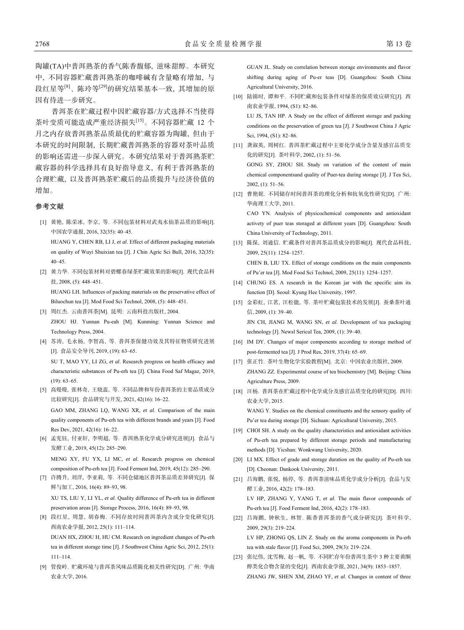陶罐(TA)中普洱熟茶的香气陈香馥郁, 滋味甜醇。本研究 中, 不同容器贮藏普洱熟茶的咖啡碱有含量略有增加, 与 段红星等[8]、陈玲等[29]的研究结果基本一致, 其增加的原 因有待进一步研究。

普洱茶在贮藏过程中因贮藏容器/方式选择不当使得 茶叶变质可能造成严重经济损失[15]。不同容器贮藏 12 个 月之内存放普洱熟茶品质最优的贮藏容器为陶罐, 但由于 本研究的时间限制, 长期贮藏普洱熟茶的容器对茶叶品质 的影响还需进一步深入研究。本研究结果对于普洱熟茶贮 藏容器的科学选择具有良好指导意义, 有利于普洱熟茶的 合理贮藏, 以及普洱熟茶贮藏后的品质提升与经济价值的 增加。

#### 参考文献

- [1] 黄艳, 陈荣冰, 李京, 等. 不同包装材料对武夷水仙茶品质的影响[J]. 中国农学通报, 2016, 32(35): 40‒45. HUANG Y, CHEN RB, LI J, *et al*. Effect of different packaging materials on quality of Wuyi Shuixian tea [J]. J Chin Agric Sci Bull, 2016, 32(35):  $40 - 45$
- [2] 黄力华. 不同包装材料对碧螺春绿茶贮藏效果的影响[J]. 现代食品科 技, 2008, (5): 448‒451. HUANG LH. Influences of packing materials on the preservative effect of
- Biluochun tea [J]. Mod Food Sci Technol, 2008, (5): 448-451. [3] 周红杰. 云南普洱茶[M]. 昆明: 云南科技出版社, 2004. ZHOU HJ. Yunnan Pu-eah [M]. Kunming: Yunnan Science and Technology Press, 2004.
- [4] 苏涛, 毛永杨, 李智高, 等. 普洱茶保健功效及其特征物质研究进展 [J]. 食品安全导刊, 2019, (19): 63‒65. SU T, MAO YY, LI ZG, *et al*. Research progress on health efficacy and characteristic substances of Pu-erh tea [J]. China Food Saf Magaz, 2019,  $(19)$ : 63–65.
- [5] 高熳熳, 张林奇, 王晓蕊, 等. 不同品牌和年份普洱茶的主要品质成分 比较研究[J]. 食品研究与开发, 2021, 42(16): 16‒22. GAO MM, ZHANG LQ, WANG XR, *et al*. Comparison of the main quality components of Pu-erh tea with different brands and years [J]. Food Res Dev, 2021, 42(16): 16‒22.
- [6] 孟宪钰, 付亚轩, 李明超, 等. 普洱熟茶化学成分研究进展[J]. 食品与 发酵工业, 2019, 45(12): 285‒290.

MENG XY, FU YX, LI MC, *et al*. Research progress on chemical composition of Pu-erh tea [J]. Food Ferment Ind, 2019, 45(12): 285-290.

- [7] 许腾升, 刘洋, 李亚莉, 等. 不同仓储地区普洱茶品质差异研究[J]. 保 鲜与加工, 2016, 16(4): 89‒93, 98. XU TS, LIU Y, LI YL, *et al*. Quality difference of Pu-erh tea in different preservation areas [J]. Storage Process, 2016, 16(4): 89-93, 98.
- [8] 段红星, 周慧, 胡春梅. 不同存放时间普洱茶内含成分变化研究[J]. 西南农业学报, 2012, 25(1): 111‒114. DUAN HX, ZHOU H, HU CM. Research on ingredient changes of Pu-erh tea in different storage time [J]. J Southwest China Agric Sci, 2012, 25(1):  $111 - 114$
- [9] 管俊岭. 贮藏环境与普洱茶风味品质陈化相关性研究[D]. 广州: 华南 农业大学, 2016.

GUAN JL. Study on correlation between storage environments and flavor shifting during aging of Pu-er teas [D]. Guangzhou: South China Agricultural University, 2016.

[10] 陆锦时, 谭和平. 不同贮藏和包装条件对绿茶的保质效应研究[J]. 西 南农业学报, 1994, (S1): 82-86.

LU JS, TAN HP. A Study on the effect of different storage and packing conditions on the preservation of green tea [J]. J Southwest China J Agric Sci, 1994, (S1): 82-86.

- [11] 龚淑英, 周树红. 普洱茶贮藏过程中主要化学成分含量及感官品质变 化的研究[J]. 茶叶科学, 2002, (1): 51‒56. GONG SY, ZHOU SH. Study on variation of the content of main chemical componentsand quality of Puer-tea during storage [J]. J Tea Sci,  $2002, (1): 51-56.$
- [12] 曹艳妮. 不同储存时间普洱茶的理化分析和抗氧化性研究[D]. 广州: 华南理工大学, 2011. CAO YN. Analysis of physicochemical components and antioxidant

activety of puer teas storaged at different years [D]. Guangzhou: South China University of Technology, 2011.

- [13] 陈保, 刘通信. 贮藏条件对普洱茶品质成分的影响[J]. 现代食品科技, 2009, 25(11): 1254‒1257. CHEN B, LIU TX. Effect of storage conditions on the main components of Pu'er tea [J]. Mod Food Sci Technol, 2009, 25(11): 1254-1257.
- [14] CHUNG ES. A research in the Korean jar with the specific aim its function [D]. Seoul: Kyung Hee University, 1997.
- [15] 金彩虹, 江茗, 汪松能, 等. 茶叶贮藏包装技术的发展[J]. 蚕桑茶叶通 信, 2009, (1): 39-40.

JIN CH, JIANG M, WANG SN, *et al*. Development of tea packaging technology [J]. Newsl Sericul Tea, 2009, (1): 39-40.

- [16] IM DY. Changes of major components according to storage method of post-fermented tea [J]. J Prod Res, 2019, 37(4): 65-69.
- [17] 张正竹. 茶叶生物化学实验教程[M]. 北京: 中国农业出版社, 2009. ZHANG ZZ. Experimental course of tea biochemistry [M]. Beijing: China Agriculture Press, 2009.
- [18] 汪杨. 普洱茶在贮藏过程中化学成分及感官品质变化的研究[D]. 四川: 农业大学, 2015. WANG Y. Studies on the chemical constituents and the sensory quality of Pu'er tea during storage [D]. Sichuan: Agricultural University, 2015.
- [19] CHOI SH. A study on the quality characteristics and antioxidant activities of Pu-erh tea prepared by different storage periods and manufacturing methods [D]. Yicshan: Wonkwang University, 2020.
- [20] LI MX. Effect of grade and storage duration on the quality of Pu-erh tea [D]. Cheonan: Dankook University, 2011.
- [21] 吕海鹏, 张悦, 杨停, 等. 普洱茶滋味品质化学成分分析[J]. 食品与发 酵工业, 2016, 42(2): 178-183. LV HP, ZHANG Y, YANG T, *et al*. The main flavor compounds of Pu-erh tea [J]. Food Ferment Ind, 2016, 42(2): 178-183.
- [22] 吕海鹏, 钟秋生, 林智. 陈香普洱茶的香气成分研究[J]. 茶叶科学, 2009, 29(3): 219‒224. LV HP, ZHONG QS, LIN Z. Study on the aroma components in Pu-erh tea with stale flavor [J]. Food Sci, 2009, 29(3): 219‒224.
- [23] 张纪伟, 沈雪梅, 赵一帆, 等. 不同贮存年份普洱生茶中 3 种主要黄酮 醇类化合物含量的变化[J]. 西南农业学报, 2021, 34(9): 1853-1857. ZHANG JW, SHEN XM, ZHAO YF, *et al*. Changes in content of three